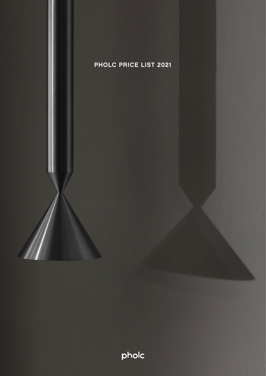

PHOLC PRICELIST 2021 PAGE 1

pholc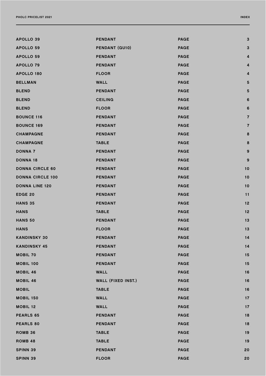| <b>APOLLO 39</b>        | <b>PENDANT</b>            | <b>PAGE</b> | 3              |
|-------------------------|---------------------------|-------------|----------------|
| <b>APOLLO 59</b>        | <b>PENDANT (GU10)</b>     | <b>PAGE</b> | 3              |
| <b>APOLLO 59</b>        | <b>PENDANT</b>            | <b>PAGE</b> | 4              |
| <b>APOLLO 79</b>        | <b>PENDANT</b>            | <b>PAGE</b> | 4              |
| <b>APOLLO 180</b>       | <b>FLOOR</b>              | <b>PAGE</b> | 4              |
| <b>BELLMAN</b>          | <b>WALL</b>               | <b>PAGE</b> | 5              |
| <b>BLEND</b>            | <b>PENDANT</b>            | <b>PAGE</b> | 5              |
| <b>BLEND</b>            | <b>CEILING</b>            | <b>PAGE</b> | 6              |
| <b>BLEND</b>            | <b>FLOOR</b>              | <b>PAGE</b> | 6              |
| <b>BOUNCE 116</b>       | <b>PENDANT</b>            | <b>PAGE</b> | $\overline{7}$ |
| <b>BOUNCE 169</b>       | <b>PENDANT</b>            | <b>PAGE</b> | $\overline{7}$ |
| <b>CHAMPAGNE</b>        | <b>PENDANT</b>            | <b>PAGE</b> | 8              |
| <b>CHAMPAGNE</b>        | <b>TABLE</b>              | <b>PAGE</b> | 8              |
| <b>DONNA 7</b>          | <b>PENDANT</b>            | <b>PAGE</b> | 9              |
| <b>DONNA 18</b>         | <b>PENDANT</b>            | <b>PAGE</b> | 9              |
| <b>DONNA CIRCLE 60</b>  | <b>PENDANT</b>            | <b>PAGE</b> | 10             |
| <b>DONNA CIRCLE 100</b> | <b>PENDANT</b>            | <b>PAGE</b> | 10             |
| <b>DONNA LINE 120</b>   | <b>PENDANT</b>            | <b>PAGE</b> | 10             |
| <b>EDGE 20</b>          | <b>PENDANT</b>            | <b>PAGE</b> | 11             |
| <b>HANS 35</b>          | <b>PENDANT</b>            | <b>PAGE</b> | 12             |
| <b>HANS</b>             | <b>TABLE</b>              | <b>PAGE</b> | 12             |
| <b>HANS 50</b>          | <b>PENDANT</b>            | <b>PAGE</b> | 13             |
| <b>HANS</b>             | <b>FLOOR</b>              | <b>PAGE</b> | 13             |
| <b>KANDINSKY 30</b>     | <b>PENDANT</b>            | <b>PAGE</b> | 14             |
| <b>KANDINSKY 45</b>     | <b>PENDANT</b>            | <b>PAGE</b> | 14             |
| <b>MOBIL 70</b>         | <b>PENDANT</b>            | <b>PAGE</b> | 15             |
| <b>MOBIL 100</b>        | <b>PENDANT</b>            | <b>PAGE</b> | 15             |
| <b>MOBIL 46</b>         | <b>WALL</b>               | <b>PAGE</b> | 16             |
| <b>MOBIL 46</b>         | <b>WALL (FIXED INST.)</b> | <b>PAGE</b> | 16             |
| <b>MOBIL</b>            | <b>TABLE</b>              | <b>PAGE</b> | 16             |
| <b>MOBIL 150</b>        | <b>WALL</b>               | <b>PAGE</b> | 17             |
| <b>MOBIL 12</b>         | <b>WALL</b>               | <b>PAGE</b> | 17             |
| <b>PEARLS 65</b>        | <b>PENDANT</b>            | <b>PAGE</b> | 18             |
| <b>PEARLS 80</b>        | <b>PENDANT</b>            | <b>PAGE</b> | 18             |
| ROMB <sub>36</sub>      | <b>TABLE</b>              | <b>PAGE</b> | 19             |
| ROMB 48                 | <b>TABLE</b>              | <b>PAGE</b> | 19             |
| <b>SPINN 39</b>         | <b>PENDANT</b>            | <b>PAGE</b> | 20             |
|                         |                           |             |                |

SPINN 39 [FLOOR PAGE 20](#page-19-0)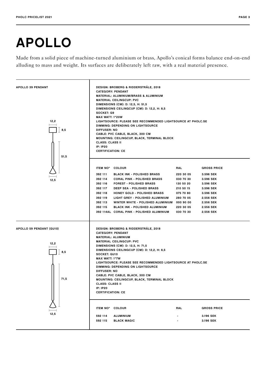### <span id="page-2-0"></span>APOLLO

Made from a solid piece of machine-turned aluminium or brass, Apollo's conical forms balance end-on-end alluding to mass and weight. Its surfaces are deliberately left raw, with a real material presence.

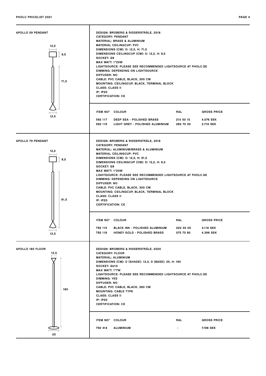<span id="page-3-0"></span>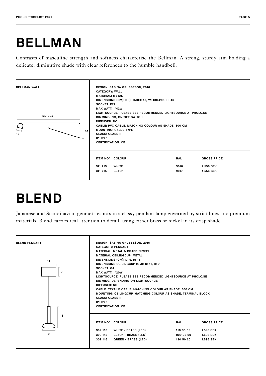### <span id="page-4-0"></span>BELLMAN

Contrasts of masculine strength and softness characterise the Bellman. A strong, sturdy arm holding a delicate, diminutive shade with clear references to the humble handbell.



## BLEND

Japanese and Scandinavian geometries mix in a classy pendant lamp governed by strict lines and premium materials. Blend carries real attention to detail, using either brass or nickel in its crisp shade.

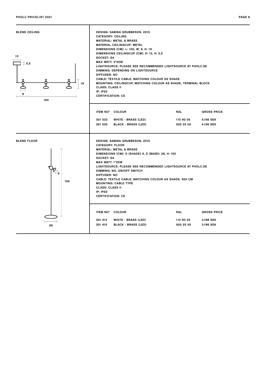<span id="page-5-0"></span>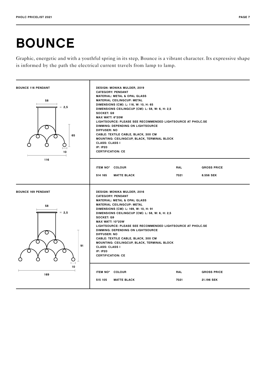# <span id="page-6-0"></span>BOUNCE

Graphic, energetic and with a youthful spring in its step, Bounce is a vibrant character. Its expressive shape is informed by the path the electrical current travels from lamp to lamp.

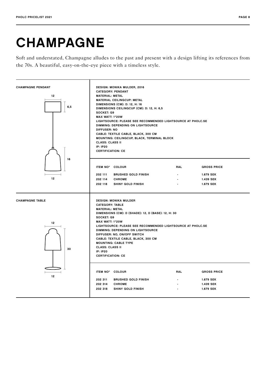# <span id="page-7-0"></span>CHAMPAGNE

Soft and understated, Champagne alludes to the past and present with a design lifting its references from the 70s. A beautiful, easy-on-the-eye piece with a timeless style.

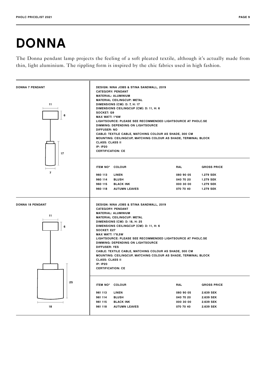# <span id="page-8-0"></span>DONNA

The Donna pendant lamp projects the feeling of a soft pleated textile, although it's actually made from thin, light aluminium. The rippling form is inspired by the chic fabrics used in high fashion.

![](_page_8_Figure_3.jpeg)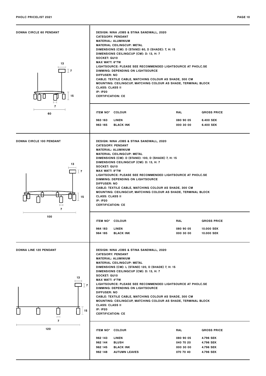<span id="page-9-0"></span>![](_page_9_Figure_1.jpeg)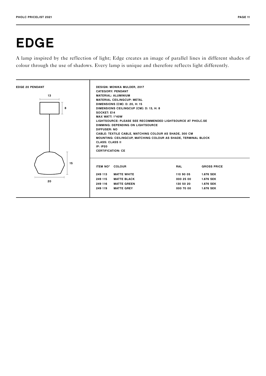# <span id="page-10-0"></span>EDGE

A lamp inspired by the reflection of light; Edge creates an image of parallel lines in different shades of colour through the use of shadows. Every lamp is unique and therefore reflects light differently.

![](_page_10_Figure_3.jpeg)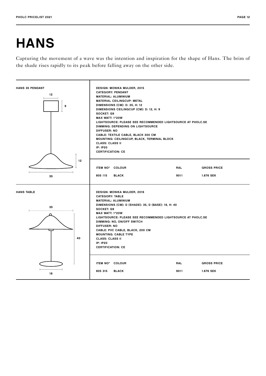# <span id="page-11-0"></span>**HANS**

Capturing the movement of a wave was the intention and inspiration for the shape of Hans. The brim of the shade rises rapidly to its peak before falling away on the other side.

![](_page_11_Figure_4.jpeg)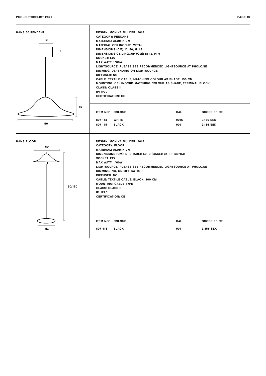<span id="page-12-0"></span>![](_page_12_Figure_1.jpeg)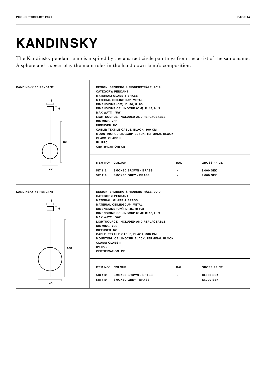### <span id="page-13-0"></span>KANDINSKY

The Kandinsky pendant lamp is inspired by the abstract circle paintings from the artist of the same name. A sphere and a spear play the main roles in the handblown lamp's composition.

![](_page_13_Figure_4.jpeg)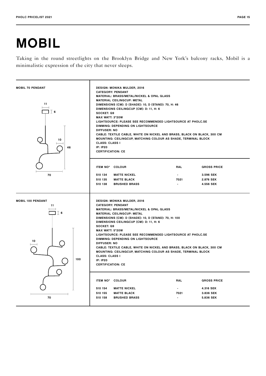# <span id="page-14-0"></span>MOBIL

Taking in the round streetlights on the Brooklyn Bridge and New York's balcony racks, Mobil is a minimalistic expression of the city that never sleeps.

![](_page_14_Figure_4.jpeg)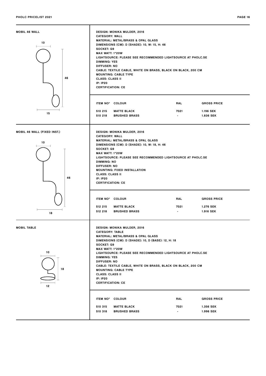<span id="page-15-0"></span>![](_page_15_Figure_2.jpeg)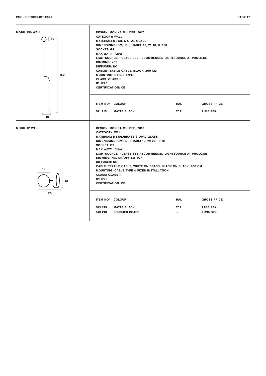<span id="page-16-0"></span>![](_page_16_Figure_2.jpeg)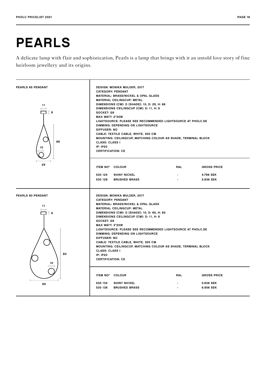### <span id="page-17-0"></span>PEARLS

A delicate lamp with flair and sophistication, Pearls is a lamp that brings with it an untold love story of fine heirloom jewellery and its origins.

![](_page_17_Figure_4.jpeg)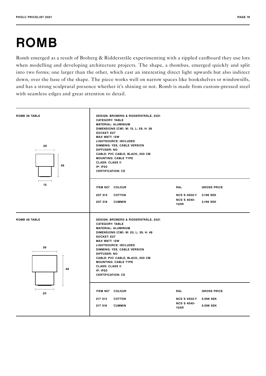# <span id="page-18-0"></span>ROMB

Romb emerged as a result of Broberg & Ridderstråle experimenting with a rippled cardboard they use lots when modelling and developing architecture projects. The shape, a rhombus, emerged quickly and split into two forms; one larger than the other, which cast an interesting direct light upwards but also indirect down, over the base of the shape. The piece works well on narrow spaces like bookshelves or windowsills, and has a strong sculptural presence whether it's shining or not. Romb is made from custom-pressed steel with seamless edges and great attention to detail.

![](_page_18_Figure_3.jpeg)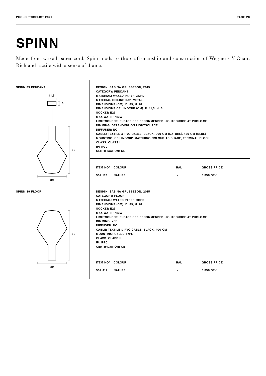### <span id="page-19-0"></span>SPINN

Made from waxed paper cord, Spinn nods to the craftsmanship and construction of Wegner's Y-Chair. Rich and tactile with a sense of drama.

![](_page_19_Figure_4.jpeg)